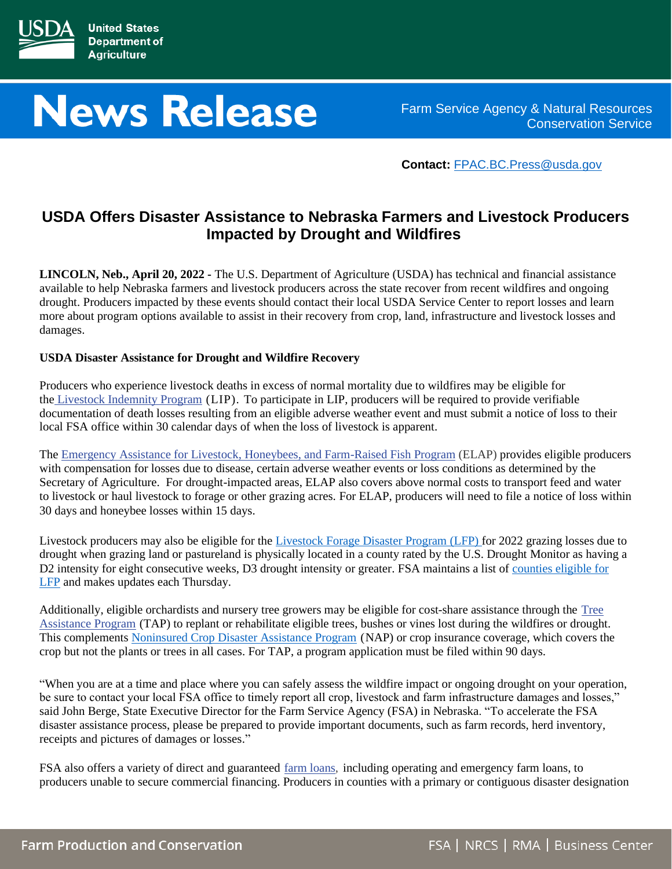

# **News Release**

Farm Service Agency & Natural Resources Conservation Service

**Contact:** [FPAC.BC.Press@usda.gov](mailto:FPAC.BC.Press@usda.gov)

# **USDA Offers Disaster Assistance to Nebraska Farmers and Livestock Producers Impacted by Drought and Wildfires**

**LINCOLN, Neb., April 20, 2022 -** The U.S. Department of Agriculture (USDA) has technical and financial assistance available to help Nebraska farmers and livestock producers across the state recover from recent wildfires and ongoing drought. Producers impacted by these events should contact their local USDA Service Center to report losses and learn more about program options available to assist in their recovery from crop, land, infrastructure and livestock losses and damages.

# **USDA Disaster Assistance for Drought and Wildfire Recovery**

Producers who experience livestock deaths in excess of normal mortality due to wildfires may be eligible for the [Livestock Indemnity Program](https://www.fsa.usda.gov/programs-and-services/disaster-assistance-program/livestock-indemnity/index) (LIP). To participate in LIP, producers will be required to provide verifiable documentation of death losses resulting from an eligible adverse weather event and must submit a notice of loss to their local FSA office within 30 calendar days of when the loss of livestock is apparent.

The [Emergency Assistance for Livestock, Honeybees, and Farm-Raised Fish Program](https://www.fsa.usda.gov/programs-and-services/disaster-assistance-program/emergency-assist-for-livestock-honey-bees-fish/index) (ELAP) provides eligible producers with compensation for losses due to disease, certain adverse weather events or loss conditions as determined by the Secretary of Agriculture. For drought-impacted areas, ELAP also covers above normal costs to transport feed and water to livestock or haul livestock to forage or other grazing acres. For ELAP, producers will need to file a notice of loss within 30 days and honeybee losses within 15 days.

Livestock producers may also be eligible for the [Livestock Forage Disaster Program \(LFP\)](https://www.fsa.usda.gov/programs-and-services/disaster-assistance-program/livestock-forage/index) for 2022 grazing losses due to drought when grazing land or pastureland is physically located in a county rated by the U.S. Drought Monitor as having a D2 intensity for eight consecutive weeks, D3 drought intensity or greater. FSA maintains a list of [counties eligible for](https://www.fsa.usda.gov/programs-and-services/disaster-assistance-program/livestock-forage/index)  [LFP](https://www.fsa.usda.gov/programs-and-services/disaster-assistance-program/livestock-forage/index) and makes updates each Thursday.

Additionally, eligible orchardists and nursery tree growers may be eligible for cost-share assistance through the [Tree](https://www.fsa.usda.gov/programs-and-services/disaster-assistance-program/tree-assistance-program/index)  [Assistance Program](https://www.fsa.usda.gov/programs-and-services/disaster-assistance-program/tree-assistance-program/index) (TAP) to replant or rehabilitate eligible trees, bushes or vines lost during the wildfires or drought. This complements [Noninsured Crop Disaster Assistance Program](https://www.fsa.usda.gov/programs-and-services/disaster-assistance-program/noninsured-crop-disaster-assistance/index) (NAP) or crop insurance coverage, which covers the crop but not the plants or trees in all cases. For TAP, a program application must be filed within 90 days.

"When you are at a time and place where you can safely assess the wildfire impact or ongoing drought on your operation, be sure to contact your local FSA office to timely report all crop, livestock and farm infrastructure damages and losses," said John Berge, State Executive Director for the Farm Service Agency (FSA) in Nebraska. "To accelerate the FSA disaster assistance process, please be prepared to provide important documents, such as farm records, herd inventory, receipts and pictures of damages or losses."

FSA also offers a variety of direct and guaranteed [farm loans,](https://www.fsa.usda.gov/programs-and-services/farm-loan-programs/) including operating and emergency farm loans, to producers unable to secure commercial financing. Producers in counties with a primary or contiguous disaster designation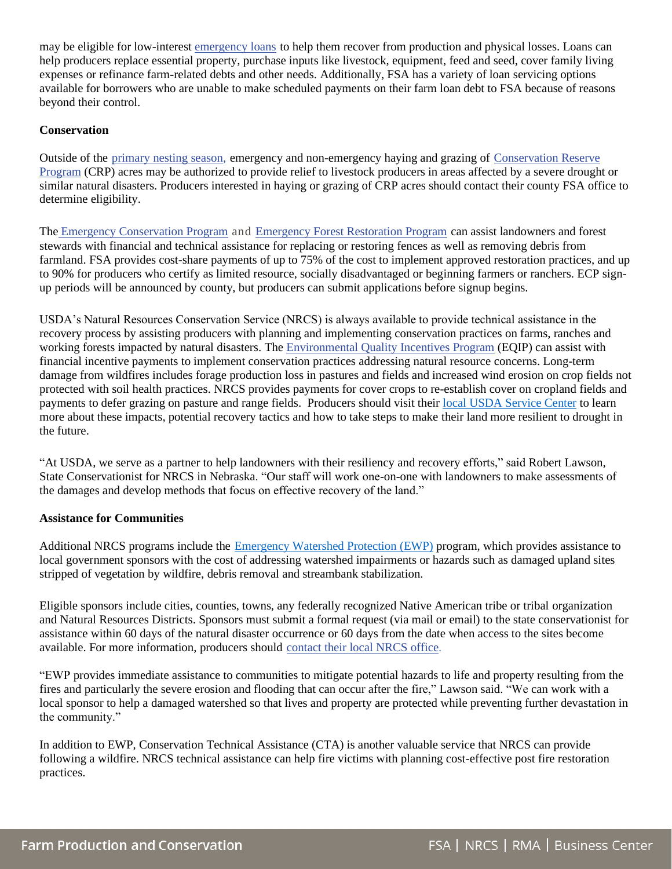may be eligible for low-interest [emergency loans](https://www.fsa.usda.gov/programs-and-services/farm-loan-programs/emergency-farm-loans/index) to help them recover from production and physical losses. Loans can help producers replace essential property, purchase inputs like livestock, equipment, feed and seed, cover family living expenses or refinance farm-related debts and other needs. Additionally, FSA has a variety of loan servicing options available for borrowers who are unable to make scheduled payments on their farm loan debt to FSA because of reasons beyond their control.

# **Conservation**

Outside of the [primary nesting season,](https://www.fsa.usda.gov/Assets/USDA-FSA-Public/usdafiles/Conservation/PDF/Primary%20Nesting%20Season_June_16_2020.pdf) emergency and non-emergency haying and grazing of [Conservation Reserve](https://www.fsa.usda.gov/programs-and-services/conservation-programs/index)  [Program](https://www.fsa.usda.gov/programs-and-services/conservation-programs/index) (CRP) acres may be authorized to provide relief to livestock producers in areas affected by a severe drought or similar natural disasters. Producers interested in haying or grazing of CRP acres should contact their county FSA office to determine eligibility.

The [Emergency Conservation Program](https://www.fsa.usda.gov/programs-and-services/conservation-programs/emergency-conservation/index) and [Emergency Forest Restoration Program](https://www.fsa.usda.gov/programs-and-services/disaster-assistance-program/emergency-forest-restoration/index) can assist landowners and forest stewards with financial and technical assistance for replacing or restoring fences as well as removing debris from farmland. FSA provides cost-share payments of up to 75% of the cost to implement approved restoration practices, and up to 90% for producers who certify as limited resource, socially disadvantaged or beginning farmers or ranchers. ECP signup periods will be announced by county, but producers can submit applications before signup begins.

USDA's Natural Resources Conservation Service (NRCS) is always available to provide technical assistance in the recovery process by assisting producers with planning and implementing conservation practices on farms, ranches and working forests impacted by natural disasters. The [Environmental Quality Incentives Program](https://www.nrcs.usda.gov/wps/portal/nrcs/main/national/programs/financial/eqip/) (EQIP) can assist with financial incentive payments to implement conservation practices addressing natural resource concerns. Long-term damage from wildfires includes forage production loss in pastures and fields and increased wind erosion on crop fields not protected with soil health practices. NRCS provides payments for cover crops to re-establish cover on cropland fields and payments to defer grazing on pasture and range fields. Producers should visit their [local USDA Service Center](https://www.farmers.gov/working-with-us/service-center-locator) to learn more about these impacts, potential recovery tactics and how to take steps to make their land more resilient to drought in the future.

"At USDA, we serve as a partner to help landowners with their resiliency and recovery efforts," said Robert Lawson, State Conservationist for NRCS in Nebraska. "Our staff will work one-on-one with landowners to make assessments of the damages and develop methods that focus on effective recovery of the land."

# **Assistance for Communities**

Additional NRCS programs include the **[Emergency Watershed Protection \(EWP\)](https://www.nrcs.usda.gov/wps/portal/nrcs/main/ne/programs/financial/ewp/)** program, which provides assistance to local government sponsors with the cost of addressing watershed impairments or hazards such as damaged upland sites stripped of vegetation by wildfire, debris removal and streambank stabilization.

Eligible sponsors include cities, counties, towns, any federally recognized Native American tribe or tribal organization and Natural Resources Districts. Sponsors must submit a formal request (via mail or email) to the state conservationist for assistance within 60 days of the natural disaster occurrence or 60 days from the date when access to the sites become available. For more information, producers should contact their [local NRCS](https://www.nrcs.usda.gov/wps/portal/nrcs/main/national/contact/local/) office.

"EWP provides immediate assistance to communities to mitigate potential hazards to life and property resulting from the fires and particularly the severe erosion and flooding that can occur after the fire," Lawson said. "We can work with a local sponsor to help a damaged watershed so that lives and property are protected while preventing further devastation in the community."

In addition to EWP, Conservation Technical Assistance (CTA) is another valuable service that NRCS can provide following a wildfire. NRCS technical assistance can help fire victims with planning cost-effective post fire restoration practices.